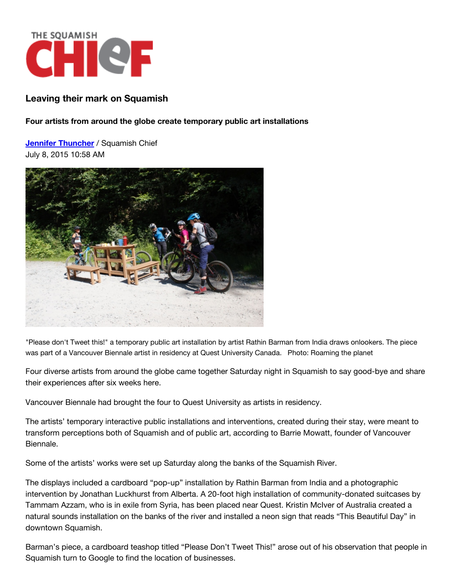

## **Leaving their mark on Squamish**

**Four artists from around the globe create temporary public art installations**

**Jennifer [Thuncher](http://www.squamishchief.com/authors?author=Jennifer%20Thuncher)** / Squamish Chief July 8, 2015 10:58 AM



"Please don't Tweet this!" a temporary public art installation by artist Rathin Barman from India draws onlookers. The piece was part of a Vancouver Biennale artist in residency at Quest University Canada. Photo: Roaming the planet

Four diverse artists from around the globe came together Saturday night in Squamish to say good-bye and share their experiences after six weeks here.

Vancouver Biennale had brought the four to Quest University as artists in residency.

The artists' temporary interactive public installations and interventions, created during their stay, were meant to transform perceptions both of Squamish and of public art, according to Barrie Mowatt, founder of Vancouver Biennale.

Some of the artists' works were set up Saturday along the banks of the Squamish River.

The displays included a cardboard "pop-up" installation by Rathin Barman from India and a photographic intervention by Jonathan Luckhurst from Alberta. A 20-foot high installation of community-donated suitcases by Tammam Azzam, who is in exile from Syria, has been placed near Quest. Kristin McIver of Australia created a natural sounds installation on the banks of the river and installed a neon sign that reads "This Beautiful Day" in downtown Squamish.

Barman's piece, a cardboard teashop titled "Please Don't Tweet This!" arose out of his observation that people in Squamish turn to Google to find the location of businesses.